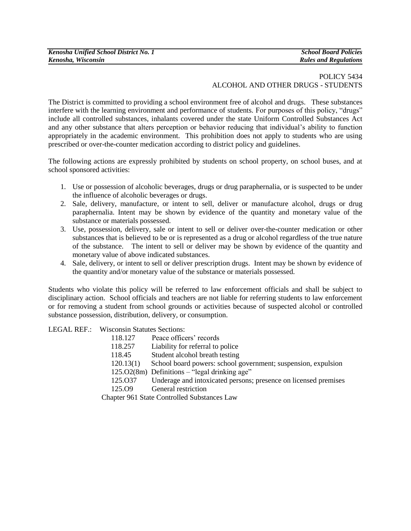## POLICY 5434 ALCOHOL AND OTHER DRUGS - STUDENTS

The District is committed to providing a school environment free of alcohol and drugs.These substances interfere with the learning environment and performance of students. For purposes of this policy, "drugs" include all controlled substances, inhalants covered under the state Uniform Controlled Substances Act and any other substance that alters perception or behavior reducing that individual's ability to function appropriately in the academic environment. This prohibition does not apply to students who are using prescribed or over-the-counter medication according to district policy and guidelines.

The following actions are expressly prohibited by students on school property, on school buses, and at school sponsored activities:

- 1. Use or possession of alcoholic beverages, drugs or drug paraphernalia, or is suspected to be under the influence of alcoholic beverages or drugs.
- 2. Sale, delivery, manufacture, or intent to sell, deliver or manufacture alcohol, drugs or drug paraphernalia. Intent may be shown by evidence of the quantity and monetary value of the substance or materials possessed.
- 3. Use, possession, delivery, sale or intent to sell or deliver over-the-counter medication or other substances that is believed to be or is represented as a drug or alcohol regardless of the true nature of the substance. The intent to sell or deliver may be shown by evidence of the quantity and monetary value of above indicated substances.
- 4. Sale, delivery, or intent to sell or deliver prescription drugs. Intent may be shown by evidence of the quantity and/or monetary value of the substance or materials possessed.

Students who violate this policy will be referred to law enforcement officials and shall be subject to disciplinary action. School officials and teachers are not liable for referring students to law enforcement or for removing a student from school grounds or activities because of suspected alcohol or controlled substance possession, distribution, delivery, or consumption.

LEGAL REF.:Wisconsin Statutes Sections:

| 118.127                                     | Peace officers' records                                         |  |
|---------------------------------------------|-----------------------------------------------------------------|--|
| 118.257                                     | Liability for referral to police                                |  |
| 118.45                                      | Student alcohol breath testing                                  |  |
| 120.13(1)                                   | School board powers: school government; suspension, expulsion   |  |
|                                             | 125.02(8m) Definitions - "legal drinking age"                   |  |
| 125.037                                     | Underage and intoxicated persons; presence on licensed premises |  |
| 125.O <sub>9</sub>                          | General restriction                                             |  |
| Chapter 961 State Controlled Substances Law |                                                                 |  |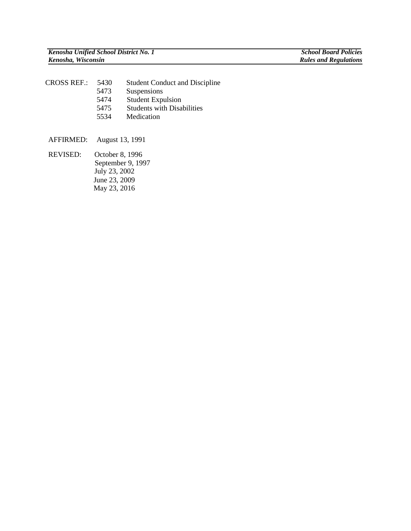| CROSS REF.: | 5430 | <b>Student Conduct and Discipline</b> |
|-------------|------|---------------------------------------|
|             | 5473 | Suspensions                           |
|             | 5474 | <b>Student Expulsion</b>              |
|             | 5475 | <b>Students with Disabilities</b>     |
|             | 5534 | Medication                            |

AFFIRMED: August 13, 1991

REVISED:October 8, 1996 September 9, 1997 July 23, 2002 June 23, 2009 May 23, 2016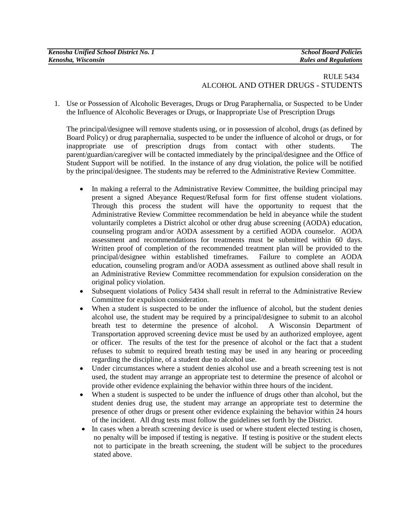| Kenosha Unified School District No. 1 | <b>School Board Policies</b> |
|---------------------------------------|------------------------------|
| Kenosha, Wisconsin                    | <b>Rules and Regulations</b> |

## RULE 5434 ALCOHOL AND OTHER DRUGS - STUDENTS

1. Use or Possession of Alcoholic Beverages, Drugs or Drug Paraphernalia, or Suspected to be Under the Influence of Alcoholic Beverages or Drugs, or Inappropriate Use of Prescription Drugs

The principal/designee will remove students using, or in possession of alcohol, drugs (as defined by Board Policy) or drug paraphernalia, suspected to be under the influence of alcohol or drugs, or for inappropriate use of prescription drugs from contact with other students. The parent/guardian/caregiver will be contacted immediately by the principal/designee and the Office of Student Support will be notified. In the instance of any drug violation, the police will be notified by the principal/designee. The students may be referred to the Administrative Review Committee.

- In making a referral to the Administrative Review Committee, the building principal may present a signed Abeyance Request/Refusal form for first offense student violations. Through this process the student will have the opportunity to request that the Administrative Review Committee recommendation be held in abeyance while the student voluntarily completes a District alcohol or other drug abuse screening (AODA) education, counseling program and/or AODA assessment by a certified AODA counselor. AODA assessment and recommendations for treatments must be submitted within 60 days. Written proof of completion of the recommended treatment plan will be provided to the principal/designee within established timeframes. Failure to complete an AODA education, counseling program and/or AODA assessment as outlined above shall result in an Administrative Review Committee recommendation for expulsion consideration on the original policy violation.
- Subsequent violations of Policy 5434 shall result in referral to the Administrative Review Committee for expulsion consideration.
- When a student is suspected to be under the influence of alcohol, but the student denies alcohol use, the student may be required by a principal/designee to submit to an alcohol breath test to determine the presence of alcohol. A Wisconsin Department of Transportation approved screening device must be used by an authorized employee, agent or officer. The results of the test for the presence of alcohol or the fact that a student refuses to submit to required breath testing may be used in any hearing or proceeding regarding the discipline, of a student due to alcohol use.
- Under circumstances where a student denies alcohol use and a breath screening test is not used, the student may arrange an appropriate test to determine the presence of alcohol or provide other evidence explaining the behavior within three hours of the incident.
- When a student is suspected to be under the influence of drugs other than alcohol, but the student denies drug use, the student may arrange an appropriate test to determine the presence of other drugs or present other evidence explaining the behavior within 24 hours of the incident. All drug tests must follow the guidelines set forth by the District.
- In cases when a breath screening device is used or where student elected testing is chosen, no penalty will be imposed if testing is negative. If testing is positive or the student elects not to participate in the breath screening, the student will be subject to the procedures stated above.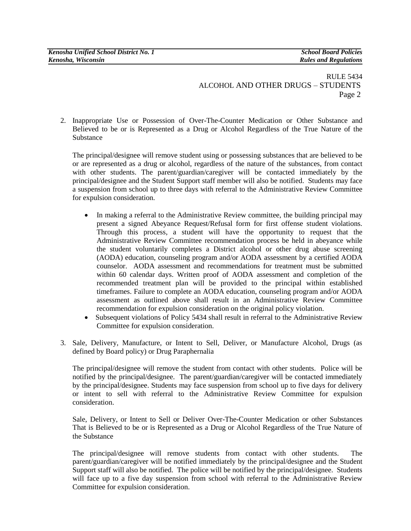## RULE 5434 ALCOHOL AND OTHER DRUGS – STUDENTS Page 2

2. Inappropriate Use or Possession of Over-The-Counter Medication or Other Substance and Believed to be or is Represented as a Drug or Alcohol Regardless of the True Nature of the Substance

The principal/designee will remove student using or possessing substances that are believed to be or are represented as a drug or alcohol, regardless of the nature of the substances, from contact with other students. The parent/guardian/caregiver will be contacted immediately by the principal/designee and the Student Support staff member will also be notified. Students may face a suspension from school up to three days with referral to the Administrative Review Committee for expulsion consideration.

- In making a referral to the Administrative Review committee, the building principal may present a signed Abeyance Request/Refusal form for first offense student violations. Through this process, a student will have the opportunity to request that the Administrative Review Committee recommendation process be held in abeyance while the student voluntarily completes a District alcohol or other drug abuse screening (AODA) education, counseling program and/or AODA assessment by a certified AODA counselor. AODA assessment and recommendations for treatment must be submitted within 60 calendar days. Written proof of AODA assessment and completion of the recommended treatment plan will be provided to the principal within established timeframes. Failure to complete an AODA education, counseling program and/or AODA assessment as outlined above shall result in an Administrative Review Committee recommendation for expulsion consideration on the original policy violation.
- Subsequent violations of Policy 5434 shall result in referral to the Administrative Review Committee for expulsion consideration.
- 3. Sale, Delivery, Manufacture, or Intent to Sell, Deliver, or Manufacture Alcohol, Drugs (as defined by Board policy) or Drug Paraphernalia

The principal/designee will remove the student from contact with other students. Police will be notified by the principal/designee. The parent/guardian/caregiver will be contacted immediately by the principal/designee. Students may face suspension from school up to five days for delivery or intent to sell with referral to the Administrative Review Committee for expulsion consideration.

Sale, Delivery, or Intent to Sell or Deliver Over-The-Counter Medication or other Substances That is Believed to be or is Represented as a Drug or Alcohol Regardless of the True Nature of the Substance

The principal/designee will remove students from contact with other students. The parent/guardian/caregiver will be notified immediately by the principal/designee and the Student Support staff will also be notified. The police will be notified by the principal/designee. Students will face up to a five day suspension from school with referral to the Administrative Review Committee for expulsion consideration.